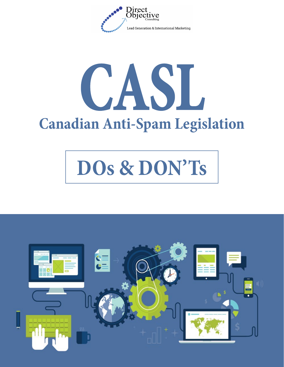

# CASL **Canadian Anti-Spam Legislation**

## DOs & DON'Ts

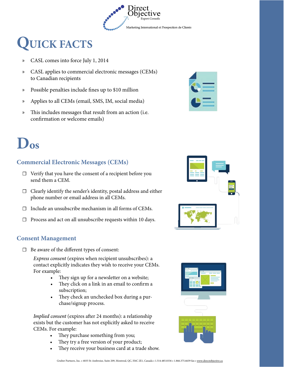Direct Marketing International et Prospection de Clients

## **QUICK FACTS**

- » CASL comes into force July 1, 2014
- » CASL applies to commercial electronic messages (CEMs) to Canadian recipients
- » Possible penalties include fines up to \$10 million
- » Applies to all CEMs (email, SMS, IM, social media)
- » This includes messages that result from an action (i.e. confirmation or welcome emails)



## **Dos**

#### **Commercial Electronic Messages (CEMs)**

- **☐** Verify that you have the consent of a recipient before you send them a CEM.
- **☐** Clearly identify the sender's identity, postal address and either phone number or email address in all CEMs.
- **☐** Include an unsubscribe mechanism in all forms of CEMs.
- **☐** Process and act on all unsubscribe requests within 10 days.

#### **Consent Management**

**☐** Be aware of the different types of consent:

*Express consent* (expires when recipient unsubscribes): a contact explicitly indicates they wish to receive your CEMs. For example:

- They sign up for a newsletter on a website;
- They click on a link in an email to confirm a subscription;
- They check an unchecked box during a purchase/signup process.

*Implied consent* (expires after 24 months): a relationship exists but the customer has not explicitly asked to receive CEMs. For example:

- They purchase something from you;
- They try a free version of your product;
- They receive your business card at a trade show.



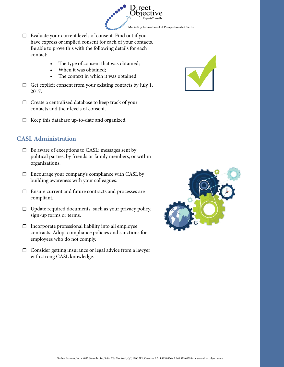

- **☐** Evaluate your current levels of consent. Find out if you have express or implied consent for each of your contacts. Be able to prove this with the following details for each contact:
	- The type of consent that was obtained;
	- When it was obtained:
	- The context in which it was obtained.
- **☐** Get explicit consent from your existing contacts by July 1, 2017.
- **☐** Create a centralized database to keep track of your contacts and their levels of consent.
- **☐** Keep this database up-to-date and organized.

#### **CASL Administration**

- **☐** Be aware of exceptions to CASL: messages sent by political parties, by friends or family members, or within organizations.
- **☐** Encourage your company's compliance with CASL by building awareness with your colleagues.
- **☐** Ensure current and future contracts and processes are compliant.
- **☐** Update required documents, such as your privacy policy, sign-up forms or terms.
- **☐** Incorporate professional liability into all employee contracts. Adopt compliance policies and sanctions for employees who do not comply.
- **☐** Consider getting insurance or legal advice from a lawyer with strong CASL knowledge.